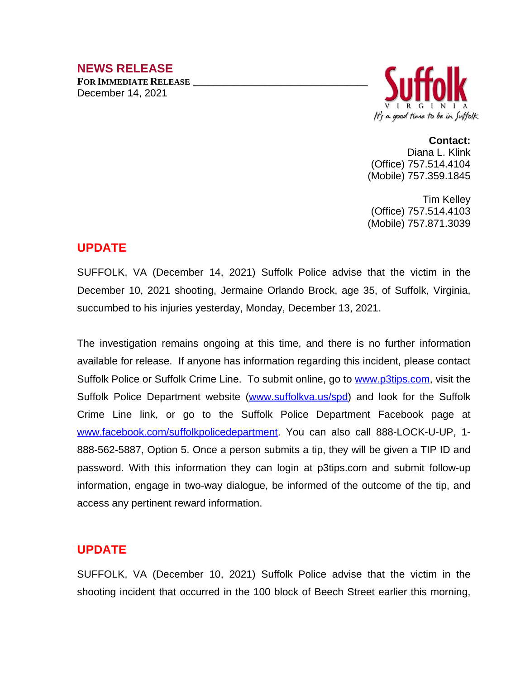# **NEWS RELEASE**

**FOR IMMEDIATE RELEASE \_\_\_\_\_\_\_\_\_\_\_\_\_\_\_\_\_\_\_\_\_\_\_\_\_\_\_\_\_\_\_\_\_\_** December 14, 2021



**Contact:** Diana L. Klink (Office) 757.514.4104 (Mobile) 757.359.1845

Tim Kelley (Office) 757.514.4103 (Mobile) 757.871.3039

# **UPDATE**

SUFFOLK, VA (December 14, 2021) Suffolk Police advise that the victim in the December 10, 2021 shooting, Jermaine Orlando Brock, age 35, of Suffolk, Virginia, succumbed to his injuries yesterday, Monday, December 13, 2021.

The investigation remains ongoing at this time, and there is no further information available for release. If anyone has information regarding this incident, please contact Suffolk Police or Suffolk Crime Line. To submit online, go to [www.p3tips.com](http://www.p3tips.com), visit the Suffolk Police Department website ([www.suffolkva.us/spd\)](http://www.suffolkva.us/spd) and look for the Suffolk Crime Line link, or go to the Suffolk Police Department Facebook page at [www.facebook.com/suffolkpolicedepartment](http://www.facebook.com/suffolkpolicedepartment). You can also call 888-LOCK-U-UP, 1- 888-562-5887, Option 5. Once a person submits a tip, they will be given a TIP ID and password. With this information they can login at p3tips.com and submit follow-up information, engage in two-way dialogue, be informed of the outcome of the tip, and access any pertinent reward information.

# **UPDATE**

SUFFOLK, VA (December 10, 2021) Suffolk Police advise that the victim in the shooting incident that occurred in the 100 block of Beech Street earlier this morning,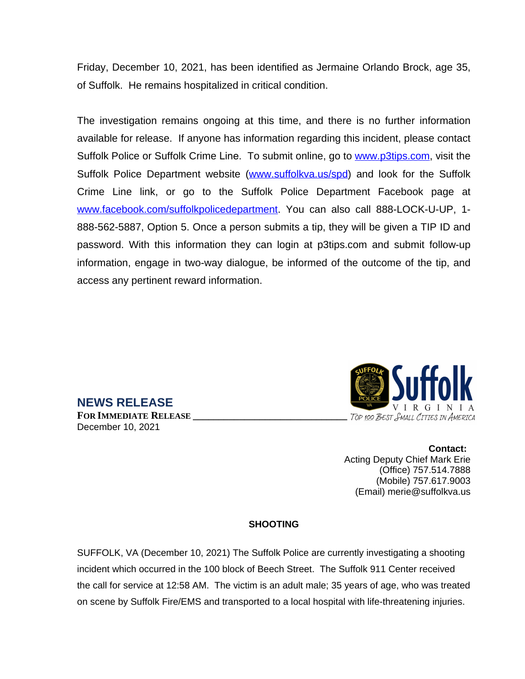Friday, December 10, 2021, has been identified as Jermaine Orlando Brock, age 35, of Suffolk. He remains hospitalized in critical condition.

The investigation remains ongoing at this time, and there is no further information available for release. If anyone has information regarding this incident, please contact Suffolk Police or Suffolk Crime Line. To submit online, go to [www.p3tips.com](http://www.p3tips.com), visit the Suffolk Police Department website ([www.suffolkva.us/spd\)](http://www.suffolkva.us/spd) and look for the Suffolk Crime Line link, or go to the Suffolk Police Department Facebook page at [www.facebook.com/suffolkpolicedepartment](http://www.facebook.com/suffolkpolicedepartment). You can also call 888-LOCK-U-UP, 1-888-562-5887, Option 5. Once a person submits a tip, they will be given a TIP ID and password. With this information they can login at p3tips.com and submit follow-up information, engage in two-way dialogue, be informed of the outcome of the tip, and access any pertinent reward information.



**Contact:** Acting Deputy Chief Mark Erie (Office) 757.514.7888 (Mobile) 757.617.9003 (Email) merie@suffolkva.us

#### **SHOOTING**

SUFFOLK, VA (December 10, 2021) The Suffolk Police are currently investigating a shooting incident which occurred in the 100 block of Beech Street. The Suffolk 911 Center received the call for service at 12:58 AM. The victim is an adult male; 35 years of age, who was treated on scene by Suffolk Fire/EMS and transported to a local hospital with life-threatening injuries.

### **NEWS RELEASE FOR IMMEDIATE RELEASE \_\_\_\_\_\_\_\_\_\_\_\_\_\_\_\_\_\_\_\_\_\_\_\_\_\_\_\_\_\_** December 10, 2021